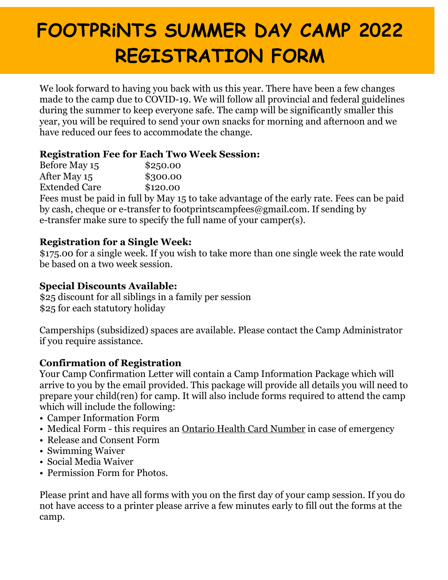# **FOOTPRiNTS SUMMER DAY CAMP 2022 REGISTRATION FORM**

We look forward to having you back with us this year. There have been a few changes made to the camp due to COVID-19. We will follow all provincial and federal guidelines during the summer to keep everyone safe. The camp will be significantly smaller this year, you will be required to send your own snacks for morning and afternoon and we have reduced our fees to accommodate the change.

## **Registration Fee for Each Two Week Session:**

| Before May 15        | \$250.00 |
|----------------------|----------|
| After May 15         | \$300.00 |
| <b>Extended Care</b> | \$120.00 |

Fees must be paid in full by May 15 to take advantage of the early rate. Fees can be paid by cash, cheque or e-transfer to footprintscampfees@gmail.com. If sending by e-transfer make sure to specify the full name of your camper(s).

#### **Registration for a Single Week:**

\$175.00 for a single week. If you wish to take more than one single week the rate would be based on a two week session.

#### **Special Discounts Available:**

\$25 discount for all siblings in a family per session \$25 for each statutory holiday

Camperships (subsidized) spaces are available. Please contact the Camp Administrator if you require assistance.

#### **Confirmation of Registration**

Your Camp Confirmation Letter will contain a Camp Information Package which will arrive to you by the email provided. This package will provide all details you will need to prepare your child(ren) for camp. It will also include forms required to attend the camp which will include the following:

- Camper Information Form
- Medical Form this requires an Ontario Health Card Number in case of emergency
- Release and Consent Form
- Swimming Waiver
- Social Media Waiver
- Permission Form for Photos.

Please print and have all forms with you on the first day of your camp session. If you do not have access to a printer please arrive a few minutes early to fill out the forms at the camp.